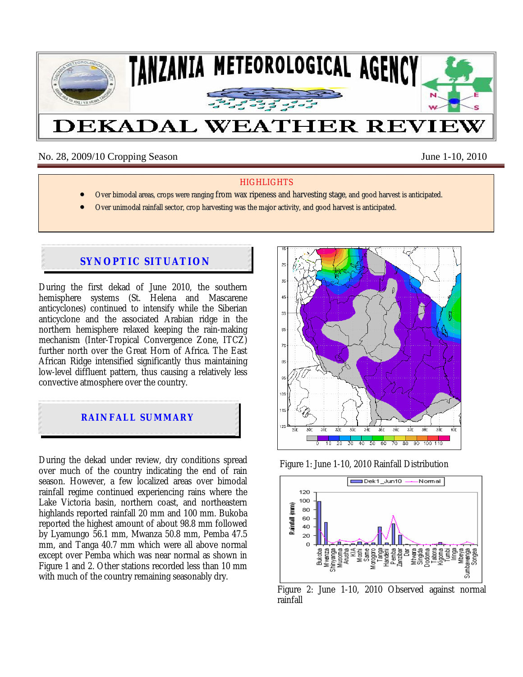

No. 28, 2009/10 Cropping Season June 1-10, 2010

### **HIGHLIGHTS**

- Over bimodal areas, crops were ranging from wax ripeness and harvesting stage, and good harvest is anticipated.
- Over unimodal rainfall sector, crop harvesting was the major activity, and good harvest is anticipated.

# **SYNOPTIC SITUATION**

During the first dekad of June 2010, the southern hemisphere systems (St. Helena and Mascarene anticyclones) continued to intensify while the Siberian anticyclone and the associated Arabian ridge in the northern hemisphere relaxed keeping the rain-making mechanism (Inter-Tropical Convergence Zone, ITCZ) further north over the Great Horn of Africa. The East African Ridge intensified significantly thus maintaining low-level diffluent pattern, thus causing a relatively less convective atmosphere over the country.



During the dekad under review, dry conditions spread over much of the country indicating the end of rain season. However, a few localized areas over bimodal rainfall regime continued experiencing rains where the Lake Victoria basin, northern coast, and northeastern highlands reported rainfall 20 mm and 100 mm. Bukoba reported the highest amount of about 98.8 mm followed by Lyamungo 56.1 mm, Mwanza 50.8 mm, Pemba 47.5 mm, and Tanga 40.7 mm which were all above normal except over Pemba which was near normal as shown in Figure 1 and 2. Other stations recorded less than 10 mm with much of the country remaining seasonably dry.



Figure 1: June 1-10, 2010 Rainfall Distribution



Figure 2: June 1-10, 2010 Observed against normal rainfall